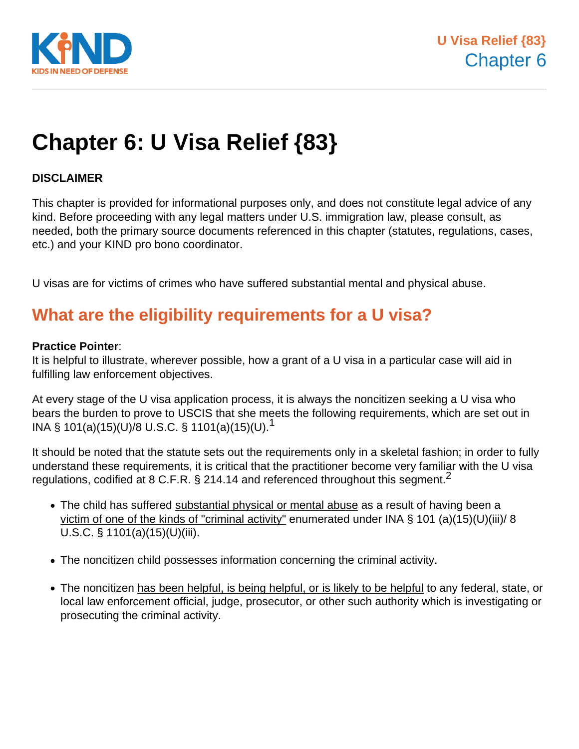

# **Chapter 6: U Visa Relief {83}**

#### **DISCLAIMER**

This chapter is provided for informational purposes only, and does not constitute legal advice of any kind. Before proceeding with any legal matters under U.S. immigration law, please consult, as needed, both the primary source documents referenced in this chapter (statutes, regulations, cases, etc.) and your KIND pro bono coordinator.

U visas are for victims of crimes who have suffered substantial mental and physical abuse.

### **What are the eligibility requirements for a U visa?**

#### **Practice Pointer**:

It is helpful to illustrate, wherever possible, how a grant of a U visa in a particular case will aid in fulfilling law enforcement objectives.

At every stage of the U visa application process, it is always the noncitizen seeking a U visa who bears the burden to prove to USCIS that she meets the following requirements, which are set out in INA § 101(a)(15)(U)/8 U.S.C. § 1101(a)(15)(U).<sup>1</sup>

It should be noted that the statute sets out the requirements only in a skeletal fashion; in order to fully understand these requirements, it is critical that the practitioner become very familiar with the U visa regulations, codified at 8 C.F.R.  $\S$  214.14 and referenced throughout this segment.<sup>2</sup>

- The child has suffered substantial physical or mental abuse as a result of having been a victim of one of the kinds of "criminal activity" enumerated under INA § 101 (a)(15)(U)(iii)/ 8 U.S.C. § 1101(a)(15)(U)(iii).
- The noncitizen child possesses information concerning the criminal activity.
- The noncitizen has been helpful, is being helpful, or is likely to be helpful to any federal, state, or local law enforcement official, judge, prosecutor, or other such authority which is investigating or prosecuting the criminal activity.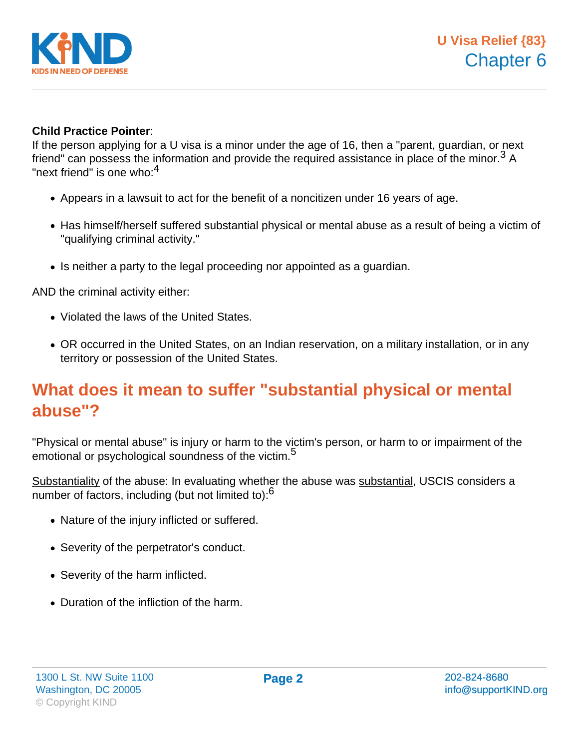

#### **Child Practice Pointer**:

If the person applying for a U visa is a minor under the age of 16, then a "parent, guardian, or next friend" can possess the information and provide the required assistance in place of the minor.<sup>3</sup> A "next friend" is one who: $4$ 

- Appears in a lawsuit to act for the benefit of a noncitizen under 16 years of age.
- Has himself/herself suffered substantial physical or mental abuse as a result of being a victim of "qualifying criminal activity."
- Is neither a party to the legal proceeding nor appointed as a guardian.

AND the criminal activity either:

- Violated the laws of the United States.
- OR occurred in the United States, on an Indian reservation, on a military installation, or in any territory or possession of the United States.

### **What does it mean to suffer "substantial physical or mental abuse"?**

"Physical or mental abuse" is injury or harm to the victim's person, or harm to or impairment of the emotional or psychological soundness of the victim.<sup>5</sup>

Substantiality of the abuse: In evaluating whether the abuse was substantial, USCIS considers a number of factors, including (but not limited to): $6$ 

- Nature of the injury inflicted or suffered.
- Severity of the perpetrator's conduct.
- Severity of the harm inflicted.
- Duration of the infliction of the harm.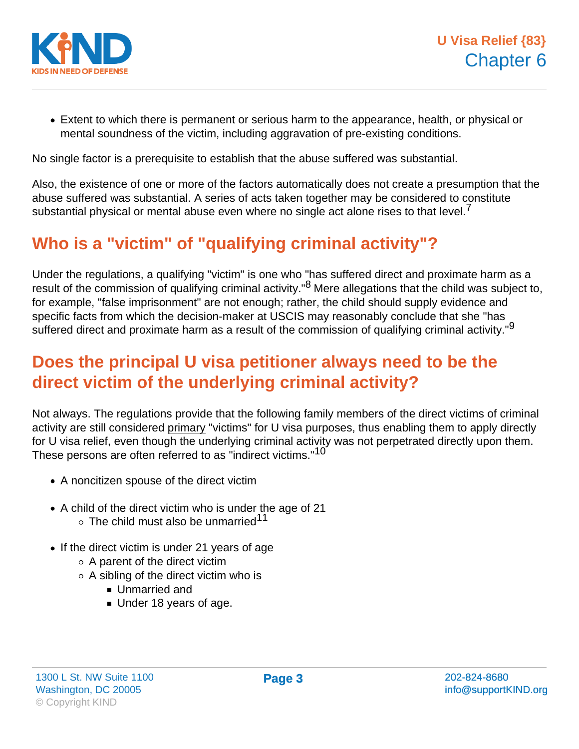

Extent to which there is permanent or serious harm to the appearance, health, or physical or mental soundness of the victim, including aggravation of pre-existing conditions.

No single factor is a prerequisite to establish that the abuse suffered was substantial.

Also, the existence of one or more of the factors automatically does not create a presumption that the abuse suffered was substantial. A series of acts taken together may be considered to constitute substantial physical or mental abuse even where no single act alone rises to that level. $\ell$ 

# **Who is a "victim" of "qualifying criminal activity"?**

Under the regulations, a qualifying "victim" is one who "has suffered direct and proximate harm as a result of the commission of qualifying criminal activity."<sup>8</sup> Mere allegations that the child was subject to, for example, "false imprisonment" are not enough; rather, the child should supply evidence and specific facts from which the decision-maker at USCIS may reasonably conclude that she "has suffered direct and proximate harm as a result of the commission of qualifying criminal activity."<sup>9</sup>

### **Does the principal U visa petitioner always need to be the direct victim of the underlying criminal activity?**

Not always. The regulations provide that the following family members of the direct victims of criminal activity are still considered primary "victims" for U visa purposes, thus enabling them to apply directly for U visa relief, even though the underlying criminal activity was not perpetrated directly upon them. These persons are often referred to as "indirect victims."<sup>10</sup>

- A noncitizen spouse of the direct victim
- A child of the direct victim who is under the age of 21  $\circ$  The child must also be unmarried $^{11}$
- If the direct victim is under 21 years of age
	- $\circ$  A parent of the direct victim
	- $\circ$  A sibling of the direct victim who is
		- **Unmarried and**
		- Under 18 years of age.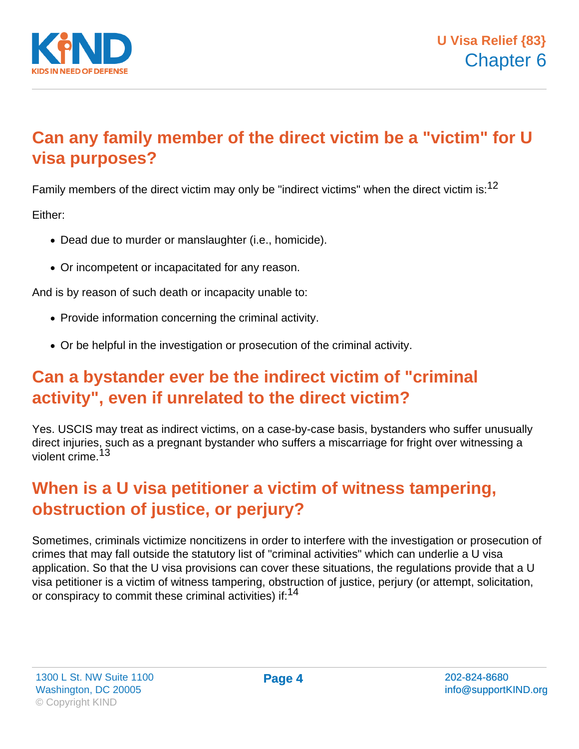

# **Can any family member of the direct victim be a "victim" for U visa purposes?**

Family members of the direct victim may only be "indirect victims" when the direct victim is:  $12$ 

Either:

- Dead due to murder or manslaughter (i.e., homicide).
- Or incompetent or incapacitated for any reason.

And is by reason of such death or incapacity unable to:

- Provide information concerning the criminal activity.
- Or be helpful in the investigation or prosecution of the criminal activity.

### **Can a bystander ever be the indirect victim of "criminal activity", even if unrelated to the direct victim?**

Yes. USCIS may treat as indirect victims, on a case-by-case basis, bystanders who suffer unusually direct injuries, such as a pregnant bystander who suffers a miscarriage for fright over witnessing a violent crime.<sup>13</sup>

# **When is a U visa petitioner a victim of witness tampering, obstruction of justice, or perjury?**

Sometimes, criminals victimize noncitizens in order to interfere with the investigation or prosecution of crimes that may fall outside the statutory list of "criminal activities" which can underlie a U visa application. So that the U visa provisions can cover these situations, the regulations provide that a U visa petitioner is a victim of witness tampering, obstruction of justice, perjury (or attempt, solicitation, or conspiracy to commit these criminal activities) if:<sup>14</sup>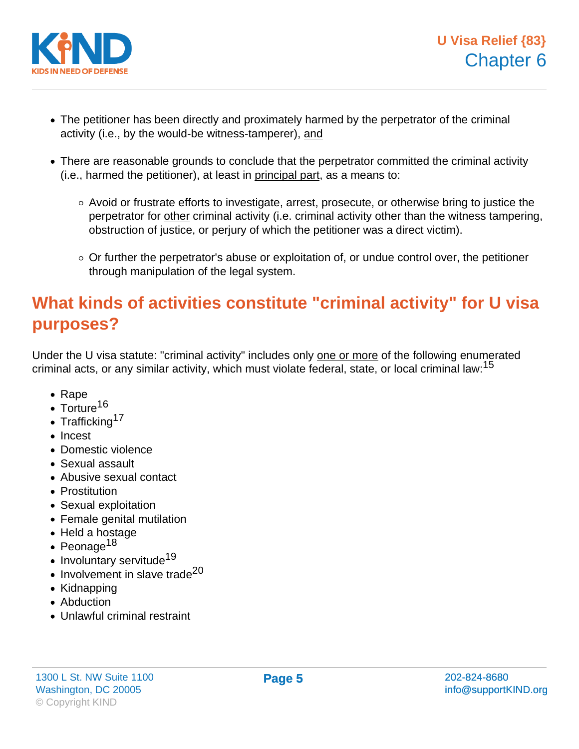

- The petitioner has been directly and proximately harmed by the perpetrator of the criminal activity (i.e., by the would-be witness-tamperer), and
- There are reasonable grounds to conclude that the perpetrator committed the criminal activity (i.e., harmed the petitioner), at least in principal part, as a means to:
	- $\circ$  Avoid or frustrate efforts to investigate, arrest, prosecute, or otherwise bring to justice the perpetrator for other criminal activity (i.e. criminal activity other than the witness tampering, obstruction of justice, or perjury of which the petitioner was a direct victim).
	- $\circ$  Or further the perpetrator's abuse or exploitation of, or undue control over, the petitioner through manipulation of the legal system.

# **What kinds of activities constitute "criminal activity" for U visa purposes?**

Under the U visa statute: "criminal activity" includes only one or more of the following enumerated criminal acts, or any similar activity, which must violate federal, state, or local criminal law:<sup>15</sup>

- Rape
- $\cdot$  Torture<sup>16</sup>
- Trafficking<sup>17</sup>
- Incest
- Domestic violence
- Sexual assault
- Abusive sexual contact
- Prostitution
- Sexual exploitation
- Female genital mutilation
- Held a hostage
- Peonage<sup>18</sup>
- $\bullet$  Involuntary servitude<sup>19</sup>
- $\bullet$  Involvement in slave trade<sup>20</sup>
- Kidnapping
- Abduction
- Unlawful criminal restraint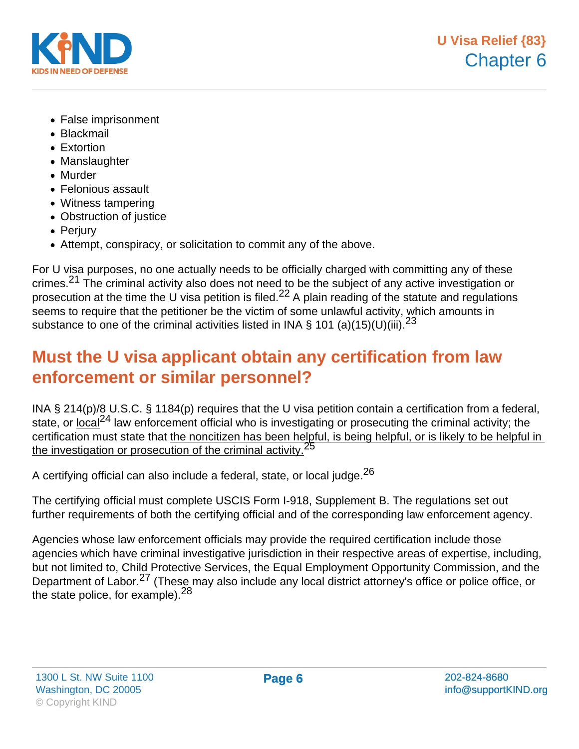

- False imprisonment
- Blackmail
- Extortion
- Manslaughter
- Murder
- Felonious assault
- Witness tampering
- Obstruction of justice
- Perjury
- Attempt, conspiracy, or solicitation to commit any of the above.

For U visa purposes, no one actually needs to be officially charged with committing any of these crimes.<sup>21</sup> The criminal activity also does not need to be the subject of any active investigation or prosecution at the time the U visa petition is filed.<sup>22</sup> A plain reading of the statute and regulations seems to require that the petitioner be the victim of some unlawful activity, which amounts in substance to one of the criminal activities listed in INA § 101 (a)(15)(U)(iii).<sup>23</sup>

# **Must the U visa applicant obtain any certification from law enforcement or similar personnel?**

INA § 214(p)/8 U.S.C. § 1184(p) requires that the U visa petition contain a certification from a federal, state, or local<sup>24</sup> law enforcement official who is investigating or prosecuting the criminal activity; the certification must state that the noncitizen has been helpful, is being helpful, or is likely to be helpful in the investigation or prosecution of the criminal activity.<sup>25</sup>

A certifying official can also include a federal, state, or local judge. $^{26}$ 

The certifying official must complete USCIS Form I-918, Supplement B. The regulations set out further requirements of both the certifying official and of the corresponding law enforcement agency.

Agencies whose law enforcement officials may provide the required certification include those agencies which have criminal investigative jurisdiction in their respective areas of expertise, including, but not limited to, Child Protective Services, the Equal Employment Opportunity Commission, and the Department of Labor.<sup>27</sup> (These may also include any local district attorney's office or police office, or the state police, for example). <sup>28</sup>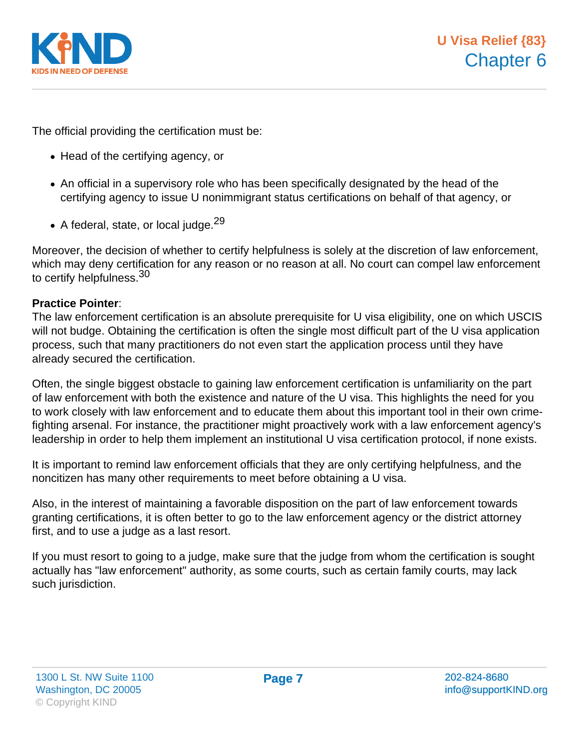

The official providing the certification must be:

- Head of the certifying agency, or
- An official in a supervisory role who has been specifically designated by the head of the certifying agency to issue U nonimmigrant status certifications on behalf of that agency, or
- $\bullet$  A federal, state, or local judge.<sup>29</sup>

Moreover, the decision of whether to certify helpfulness is solely at the discretion of law enforcement, which may deny certification for any reason or no reason at all. No court can compel law enforcement to certify helpfulness.<sup>30</sup>

#### **Practice Pointer**:

The law enforcement certification is an absolute prerequisite for U visa eligibility, one on which USCIS will not budge. Obtaining the certification is often the single most difficult part of the U visa application process, such that many practitioners do not even start the application process until they have already secured the certification.

Often, the single biggest obstacle to gaining law enforcement certification is unfamiliarity on the part of law enforcement with both the existence and nature of the U visa. This highlights the need for you to work closely with law enforcement and to educate them about this important tool in their own crimefighting arsenal. For instance, the practitioner might proactively work with a law enforcement agency's leadership in order to help them implement an institutional U visa certification protocol, if none exists.

It is important to remind law enforcement officials that they are only certifying helpfulness, and the noncitizen has many other requirements to meet before obtaining a U visa.

Also, in the interest of maintaining a favorable disposition on the part of law enforcement towards granting certifications, it is often better to go to the law enforcement agency or the district attorney first, and to use a judge as a last resort.

If you must resort to going to a judge, make sure that the judge from whom the certification is sought actually has "law enforcement" authority, as some courts, such as certain family courts, may lack such jurisdiction.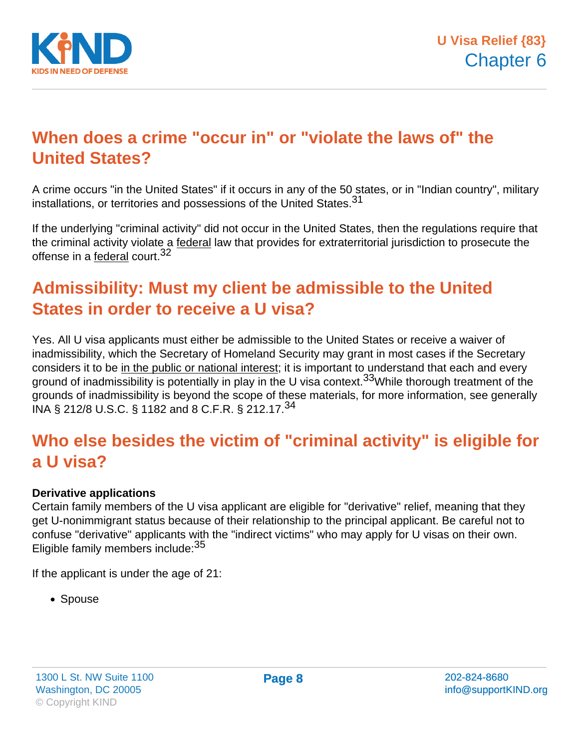

### **When does a crime "occur in" or "violate the laws of" the United States?**

A crime occurs "in the United States" if it occurs in any of the 50 states, or in "Indian country", military installations, or territories and possessions of the United States.<sup>31</sup>

If the underlying "criminal activity" did not occur in the United States, then the regulations require that the criminal activity violate a federal law that provides for extraterritorial jurisdiction to prosecute the offense in a federal court.<sup>32</sup>

# **Admissibility: Must my client be admissible to the United States in order to receive a U visa?**

Yes. All U visa applicants must either be admissible to the United States or receive a waiver of inadmissibility, which the Secretary of Homeland Security may grant in most cases if the Secretary considers it to be in the public or national interest; it is important to understand that each and every ground of inadmissibility is potentially in play in the U visa context.<sup>33</sup>While thorough treatment of the grounds of inadmissibility is beyond the scope of these materials, for more information, see generally INA § 212/8 U.S.C. § 1182 and 8 C.F.R. § 212.17.<sup>34</sup>

### **Who else besides the victim of "criminal activity" is eligible for a U visa?**

#### **Derivative applications**

Certain family members of the U visa applicant are eligible for "derivative" relief, meaning that they get U-nonimmigrant status because of their relationship to the principal applicant. Be careful not to confuse "derivative" applicants with the "indirect victims" who may apply for U visas on their own. Eligible family members include:<sup>35</sup>

If the applicant is under the age of 21:

• Spouse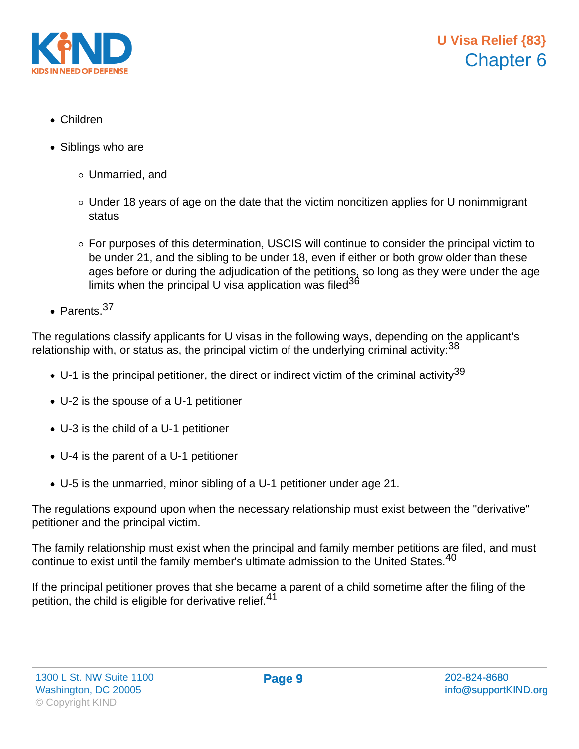

- Children
- Siblings who are
	- Unmarried, and
	- Under 18 years of age on the date that the victim noncitizen applies for U nonimmigrant status
	- For purposes of this determination, USCIS will continue to consider the principal victim to be under 21, and the sibling to be under 18, even if either or both grow older than these ages before or during the adjudication of the petitions, so long as they were under the age limits when the principal U visa application was filed  $36$
- $\bullet$  Parents  $^{37}$

The regulations classify applicants for U visas in the following ways, depending on the applicant's relationship with, or status as, the principal victim of the underlying criminal activity:  $38$ 

- $\bullet$  U-1 is the principal petitioner, the direct or indirect victim of the criminal activity<sup>39</sup>
- U-2 is the spouse of a U-1 petitioner
- U-3 is the child of a U-1 petitioner
- U-4 is the parent of a U-1 petitioner
- U-5 is the unmarried, minor sibling of a U-1 petitioner under age 21.

The regulations expound upon when the necessary relationship must exist between the "derivative" petitioner and the principal victim.

The family relationship must exist when the principal and family member petitions are filed, and must continue to exist until the family member's ultimate admission to the United States.<sup>40</sup>

If the principal petitioner proves that she became a parent of a child sometime after the filing of the petition, the child is eligible for derivative relief.<sup>41</sup>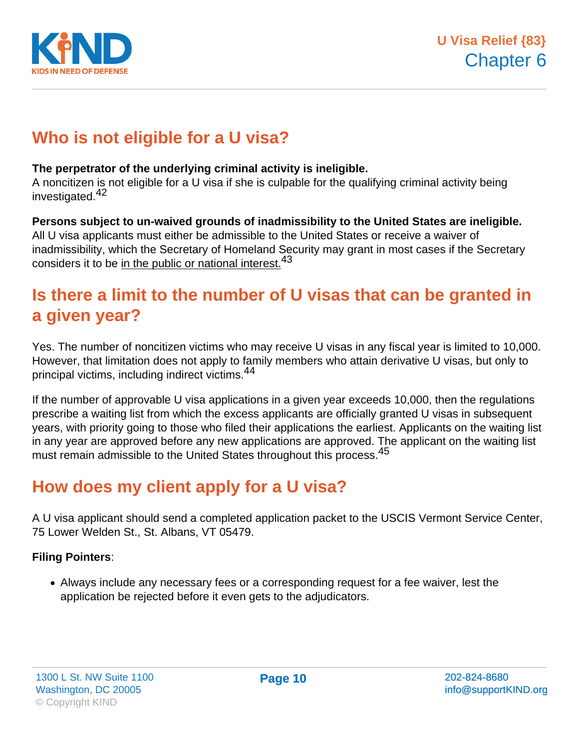

# **Who is not eligible for a U visa?**

#### **The perpetrator of the underlying criminal activity is ineligible.**

A noncitizen is not eligible for a U visa if she is culpable for the qualifying criminal activity being investigated.<sup>42</sup>

#### **Persons subject to un-waived grounds of inadmissibility to the United States are ineligible.**

All U visa applicants must either be admissible to the United States or receive a waiver of inadmissibility, which the Secretary of Homeland Security may grant in most cases if the Secretary considers it to be in the public or national interest.<sup>43</sup>

### **Is there a limit to the number of U visas that can be granted in a given year?**

Yes. The number of noncitizen victims who may receive U visas in any fiscal year is limited to 10,000. However, that limitation does not apply to family members who attain derivative U visas, but only to principal victims, including indirect victims.<sup>44</sup>

If the number of approvable U visa applications in a given year exceeds 10,000, then the regulations prescribe a waiting list from which the excess applicants are officially granted U visas in subsequent years, with priority going to those who filed their applications the earliest. Applicants on the waiting list in any year are approved before any new applications are approved. The applicant on the waiting list must remain admissible to the United States throughout this process.<sup>45</sup>

# **How does my client apply for a U visa?**

A U visa applicant should send a completed application packet to the USCIS Vermont Service Center, 75 Lower Welden St., St. Albans, VT 05479.

#### **Filing Pointers**:

Always include any necessary fees or a corresponding request for a fee waiver, lest the application be rejected before it even gets to the adjudicators.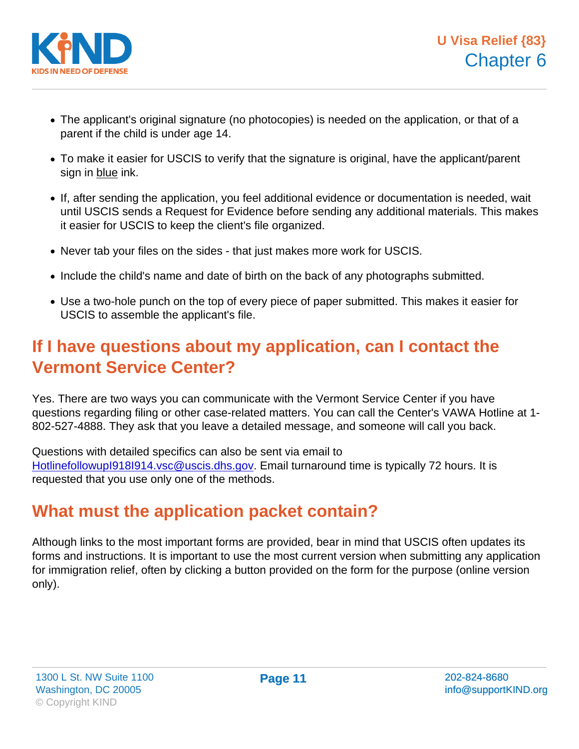- The applicant's original signature (no photocopies) is needed on the application, or that of a parent if the child is under age 14.
- To make it easier for USCIS to verify that the signature is original, have the applicant/parent sign in blue ink.
- If, after sending the application, you feel additional evidence or documentation is needed, wait until USCIS sends a Request for Evidence before sending any additional materials. This makes it easier for USCIS to keep the client's file organized.
- Never tab your files on the sides that just makes more work for USCIS.
- Include the child's name and date of birth on the back of any photographs submitted.
- Use a two-hole punch on the top of every piece of paper submitted. This makes it easier for USCIS to assemble the applicant's file.

### If I have questions about my application, can I contact the Vermont Service Center?

Yes. There are two ways you can communicate with the Vermont Service Center if you have questions regarding filing or other case-related matters. You can call the Center's VAWA Hotline at 1- 802-527-4888. They ask that you leave a detailed message, and someone will call you back.

Questions with detailed specifics can also be sent via email to [HotlinefollowupI918I914.vsc@uscis.dhs.gov](mailto:HotlinefollowupI918I914.vsc@uscis.dhs.gov). Email turnaround time is typically 72 hours. It is requested that you use only one of the methods.

### What must the application packet contain?

Although links to the most important forms are provided, bear in mind that USCIS often updates its forms and instructions. It is important to use the most current version when submitting any application for immigration relief, often by clicking a button provided on the form for the purpose (online version only).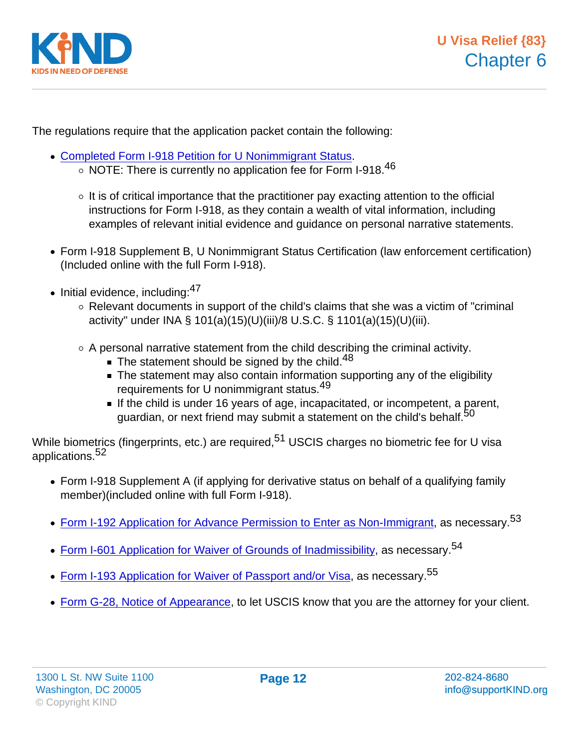The regulations require that the application packet contain the following:

- [Completed Form I-918 Petition for U Nonimmigrant Status](http://www.uscis.gov/portal/site/uscis/menuitem.5af9bb95919f35e66f614176543f6d1a/?vgnextoid=c70ab2036b0f4110VgnVCM1000004718190aRCRD&vgnextchannel=6ca66d26d17df110VgnVCM1000004718190aRCRD).
	- $\circ$  NOTE: There is currently no application fee for Form I-918.<sup>46</sup>
	- $\circ$  It is of critical importance that the practitioner pay exacting attention to the official instructions for Form I-918, as they contain a wealth of vital information, including examples of relevant initial evidence and guidance on personal narrative statements.
- Form I-918 Supplement B, U Nonimmigrant Status Certification (law enforcement certification) (Included online with the full Form I-918).
- $\bullet$  Initial evidence, including:  $47$ 
	- $\circ$  Relevant documents in support of the child's claims that she was a victim of "criminal activity" under INA § 101(a)(15)(U)(iii)/8 U.S.C. § 1101(a)(15)(U)(iii).
	- $\circ$  A personal narrative statement from the child describing the criminal activity.
		- $\blacksquare$  The statement should be signed by the child.<sup>48</sup>
		- The statement may also contain information supporting any of the eligibility requirements for U nonimmigrant status.<sup>49</sup>
		- If the child is under 16 years of age, incapacitated, or incompetent, a parent, guardian, or next friend may submit a statement on the child's behalf.<sup>50</sup>

While biometrics (fingerprints, etc.) are required,<sup>51</sup> USCIS charges no biometric fee for U visa applications.<sup>52</sup>

- Form I-918 Supplement A (if applying for derivative status on behalf of a qualifying family member)(included online with full Form I-918).
- [Form I-192 Application for Advance Permission to Enter as Non-Immigrant,](http://www.uscis.gov/portal/site/uscis/menuitem.5af9bb95919f35e66f614176543f6d1a/?vgnextoid=68db2c1a6855d010VgnVCM10000048f3d6a1RCRD) as necessary.<sup>53</sup>
- [Form I-601 Application for Waiver of Grounds of Inadmissibility,](http://www.uscis.gov/portal/site/uscis/menuitem.5af9bb95919f35e66f614176543f6d1a/?vgnextoid=bb515f56ff55d010VgnVCM10000048f3d6a1RCRD&vgnextchannel=6ca66d26d17df110VgnVCM1000004718190aRCRD) as necessary.<sup>54</sup>
- [Form I-193 Application for Waiver of Passport and/or Visa,](http://forms.cbp.gov/pdf/CBP_Form_i193.pdf) as necessary.<sup>55</sup>
- [Form G-28, Notice of Appearance](http://www.uscis.gov/portal/site/uscis/menuitem.5af9bb95919f35e66f614176543f6d1a/?vgnextoid=44bd4154d7b3d010VgnVCM10000048f3d6a1RCRD&vgnextchannel=db029c7755cb9010VgnVCM10000045f3d6a1RCRD), to let USCIS know that you are the attorney for your client.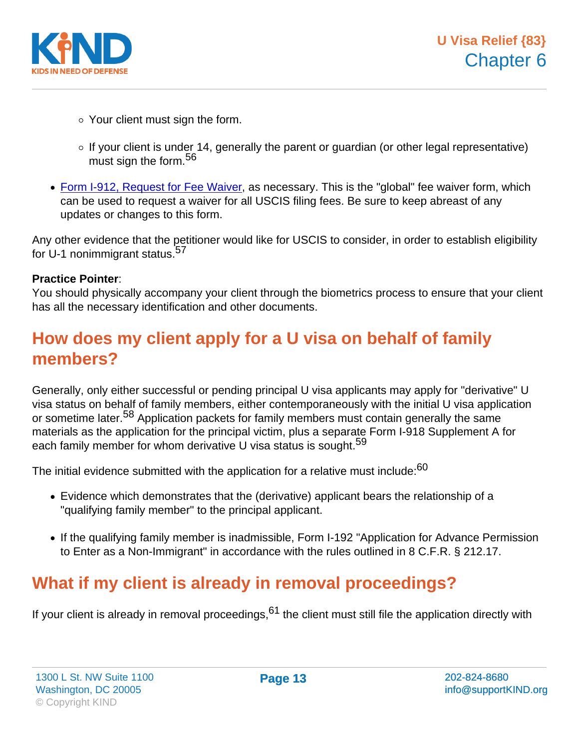- Your client must sign the form.
- $\circ$  If your client is under 14, generally the parent or guardian (or other legal representative) must sign the form.<sup>56</sup>
- [Form I-912, Request for Fee Waiver](http://www.uscis.gov/portal/site/uscis/menuitem.5af9bb95919f35e66f614176543f6d1a/?vgnextoid=4c30003cf147c210VgnVCM100000082ca60aRCRD&vgnextchannel=6ca66d26d17df110VgnVCM1000004718190aRCRD), as necessary. This is the "global" fee waiver form, which can be used to request a waiver for all USCIS filing fees. Be sure to keep abreast of any updates or changes to this form.

Any other evidence that the petitioner would like for USCIS to consider, in order to establish eligibility for U-1 nonimmigrant status.<sup>57</sup>

#### Practice Pointer :

You should physically accompany your client through the biometrics process to ensure that your client has all the necessary identification and other documents.

### How does my client apply for a U visa on behalf of family members?

Generally, only either successful or pending principal U visa applicants may apply for "derivative" U visa status on behalf of family members, either contemporaneously with the initial U visa application or sometime later.<sup>58</sup> Application packets for family members must contain generally the same materials as the application for the principal victim, plus a separate Form I-918 Supplement A for each family member for whom derivative U visa status is sought.<sup>59</sup>

The initial evidence submitted with the application for a relative must include:<sup>60</sup>

- Evidence which demonstrates that the (derivative) applicant bears the relationship of a "qualifying family member" to the principal applicant.
- If the qualifying family member is inadmissible, Form I-192 "Application for Advance Permission to Enter as a Non-Immigrant" in accordance with the rules outlined in 8 C.F.R. § 212.17.

# What if my client is already in removal proceedings?

If your client is already in removal proceedings,  $61$  the client must still file the application directly with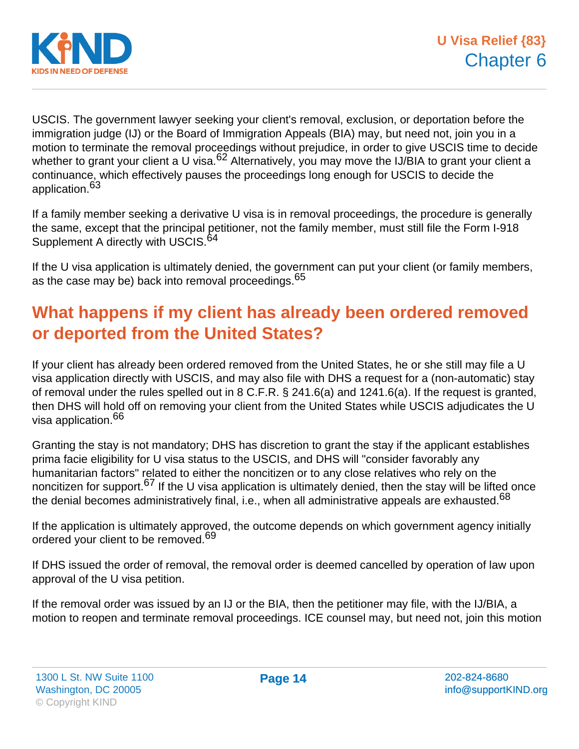

USCIS. The government lawyer seeking your client's removal, exclusion, or deportation before the immigration judge (IJ) or the Board of Immigration Appeals (BIA) may, but need not, join you in a motion to terminate the removal proceedings without prejudice, in order to give USCIS time to decide whether to grant your client a U visa.<sup>62</sup> Alternatively, you may move the IJ/BIA to grant your client a continuance, which effectively pauses the proceedings long enough for USCIS to decide the application.<sup>63</sup>

If a family member seeking a derivative U visa is in removal proceedings, the procedure is generally the same, except that the principal petitioner, not the family member, must still file the Form I-918 Supplement A directly with USCIS.<sup>64</sup>

If the U visa application is ultimately denied, the government can put your client (or family members, as the case may be) back into removal proceedings.<sup>65</sup>

# **What happens if my client has already been ordered removed or deported from the United States?**

If your client has already been ordered removed from the United States, he or she still may file a U visa application directly with USCIS, and may also file with DHS a request for a (non-automatic) stay of removal under the rules spelled out in 8 C.F.R. § 241.6(a) and 1241.6(a). If the request is granted, then DHS will hold off on removing your client from the United States while USCIS adjudicates the U visa application.<sup>66</sup>

Granting the stay is not mandatory; DHS has discretion to grant the stay if the applicant establishes prima facie eligibility for U visa status to the USCIS, and DHS will "consider favorably any humanitarian factors" related to either the noncitizen or to any close relatives who rely on the noncitizen for support.<sup>67</sup> If the U visa application is ultimately denied, then the stay will be lifted once the denial becomes administratively final, i.e., when all administrative appeals are exhausted.<sup>68</sup>

If the application is ultimately approved, the outcome depends on which government agency initially ordered your client to be removed.<sup>69</sup>

If DHS issued the order of removal, the removal order is deemed cancelled by operation of law upon approval of the U visa petition.

If the removal order was issued by an IJ or the BIA, then the petitioner may file, with the IJ/BIA, a motion to reopen and terminate removal proceedings. ICE counsel may, but need not, join this motion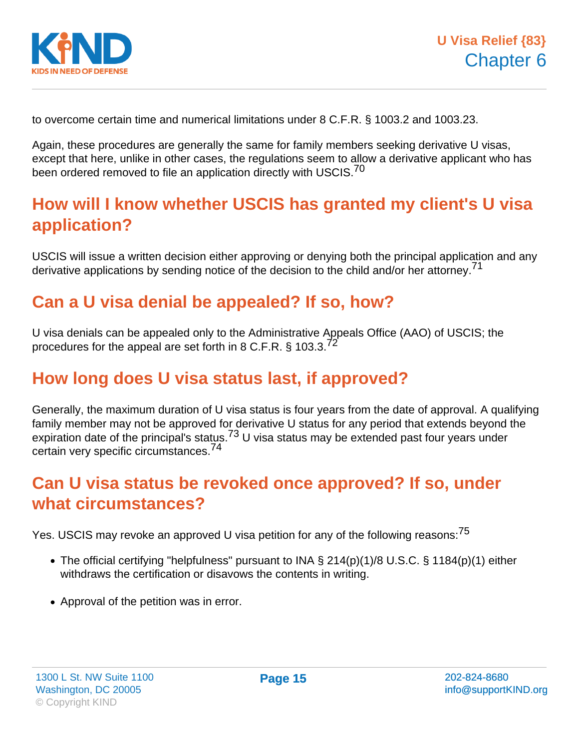

to overcome certain time and numerical limitations under 8 C.F.R. § 1003.2 and 1003.23.

Again, these procedures are generally the same for family members seeking derivative U visas, except that here, unlike in other cases, the regulations seem to allow a derivative applicant who has been ordered removed to file an application directly with USCIS.<sup>70</sup>

# **How will I know whether USCIS has granted my client's U visa application?**

USCIS will issue a written decision either approving or denying both the principal application and any derivative applications by sending notice of the decision to the child and/or her attorney.<sup>71</sup>

### **Can a U visa denial be appealed? If so, how?**

U visa denials can be appealed only to the Administrative Appeals Office (AAO) of USCIS; the procedures for the appeal are set forth in 8 C.F.R.  $\S$  103.3.<sup>72</sup>

# **How long does U visa status last, if approved?**

Generally, the maximum duration of U visa status is four years from the date of approval. A qualifying family member may not be approved for derivative U status for any period that extends beyond the expiration date of the principal's status.<sup>73</sup> U visa status may be extended past four years under certain very specific circumstances.<sup>74</sup>

### **Can U visa status be revoked once approved? If so, under what circumstances?**

Yes. USCIS may revoke an approved U visa petition for any of the following reasons:<sup>75</sup>

- The official certifying "helpfulness" pursuant to INA § 214(p)(1)/8 U.S.C. § 1184(p)(1) either withdraws the certification or disavows the contents in writing.
- Approval of the petition was in error.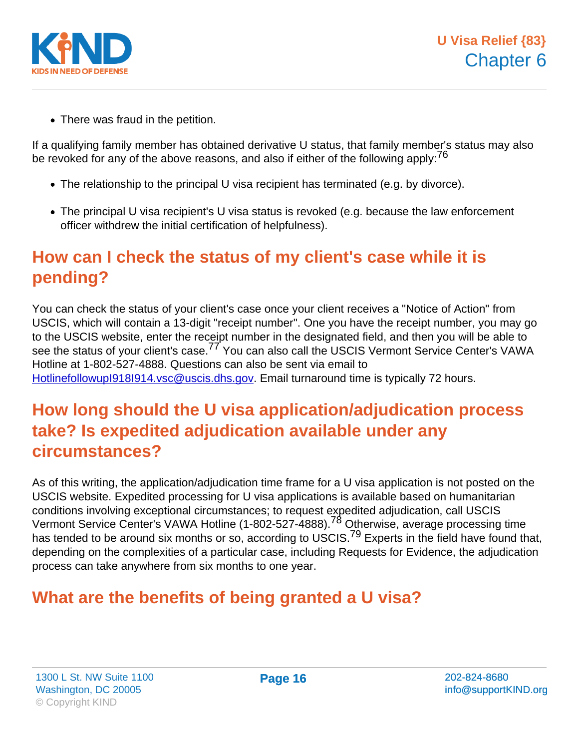• There was fraud in the petition.

If a qualifying family member has obtained derivative U status, that family member's status may also be revoked for any of the above reasons, and also if either of the following apply:  $76$ 

- The relationship to the principal U visa recipient has terminated (e.g. by divorce).
- The principal U visa recipient's U visa status is revoked (e.g. because the law enforcement officer withdrew the initial certification of helpfulness).

# How can I check the status of my client's case while it is pending?

You can check the status of your client's case once your client receives a "Notice of Action" from USCIS, which will contain a 13-digit "receipt number". One you have the receipt number, you may go to the USCIS website, enter the receipt number in the designated field, and then you will be able to see the status of your client's case.<sup>77</sup> You can also call the USCIS Vermont Service Center's VAWA Hotline at 1-802-527-4888. Questions can also be sent via email to [HotlinefollowupI918I914.vsc@uscis.dhs.gov](mailto:HotlinefollowupI918I914.vsc@uscis.dhs.gov). Email turnaround time is typically 72 hours.

### How long should the U visa application/adjudication process take? Is expedited adjudication available under any circumstances?

As of this writing, the application/adjudication time frame for a U visa application is not posted on the USCIS website. Expedited processing for U visa applications is available based on humanitarian conditions involving exceptional circumstances; to request expedited adjudication, call USCIS Vermont Service Center's VAWA Hotline (1-802-527-4888).<sup>78</sup> Otherwise, average processing time has tended to be around six months or so, according to USCIS.<sup>79</sup> Experts in the field have found that, depending on the complexities of a particular case, including Requests for Evidence, the adjudication process can take anywhere from six months to one year.

# What are the benefits of being granted a U visa?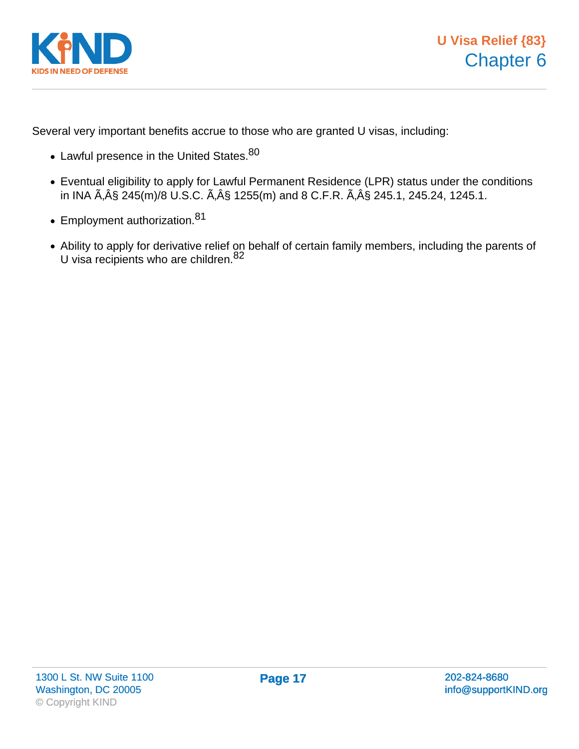

Several very important benefits accrue to those who are granted U visas, including:

- Lawful presence in the United States. 80
- Eventual eligibility to apply for Lawful Permanent Residence (LPR) status under the conditions in INA  $\tilde{A}$ ,  $\hat{A}$  § 245(m)/8 U.S.C.  $\tilde{A}$ ,  $\hat{A}$  § 1255(m) and 8 C.F.R.  $\tilde{A}$ ,  $\hat{A}$  § 245.1, 245.24, 1245.1.
- Employment authorization.<sup>81</sup>
- Ability to apply for derivative relief on behalf of certain family members, including the parents of U visa recipients who are children.<sup>82</sup>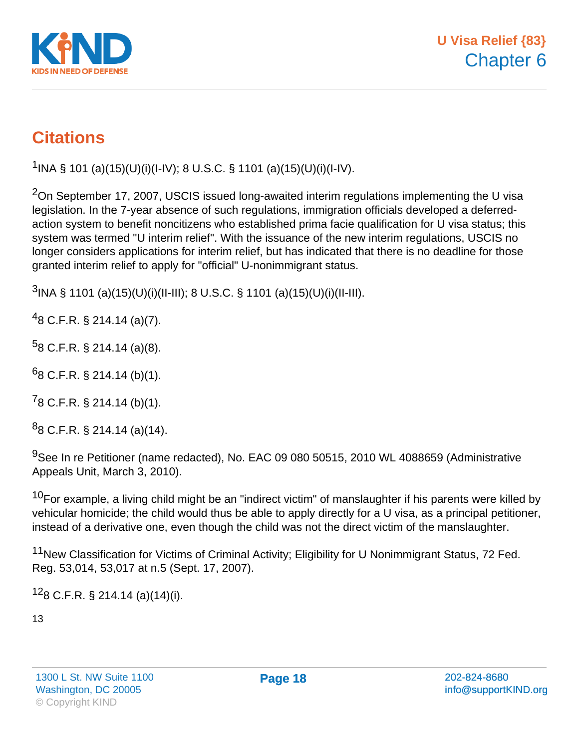

# **Citations**

<sup>1</sup>INA § 101 (a)(15)(U)(i)(I-IV); 8 U.S.C. § 1101 (a)(15)(U)(i)(I-IV).

<sup>2</sup>On September 17, 2007, USCIS issued long-awaited interim regulations implementing the U visa legislation. In the 7-year absence of such regulations, immigration officials developed a deferredaction system to benefit noncitizens who established prima facie qualification for U visa status; this system was termed "U interim relief". With the issuance of the new interim regulations, USCIS no longer considers applications for interim relief, but has indicated that there is no deadline for those granted interim relief to apply for "official" U-nonimmigrant status.

 $3$ INA § 1101 (a)(15)(U)(i)(II-III); 8 U.S.C. § 1101 (a)(15)(U)(i)(II-III).

 $^{4}$ 8 C.F.R. § 214.14 (a)(7).

 $58$  C.F.R. § 214.14 (a)(8).

 $68$  C.F.R. § 214.14 (b)(1).

 $78$  C.F.R. § 214.14 (b)(1).

 $88$  C.F.R. § 214.14 (a)(14).

<sup>9</sup>See In re Petitioner (name redacted), No. EAC 09 080 50515, 2010 WL 4088659 (Administrative Appeals Unit, March 3, 2010).

 $10$ For example, a living child might be an "indirect victim" of manslaughter if his parents were killed by vehicular homicide; the child would thus be able to apply directly for a U visa, as a principal petitioner, instead of a derivative one, even though the child was not the direct victim of the manslaughter.

<sup>11</sup>New Classification for Victims of Criminal Activity; Eligibility for U Nonimmigrant Status, 72 Fed. Reg. 53,014, 53,017 at n.5 (Sept. 17, 2007).

 $128$  C.F.R. § 214.14 (a)(14)(i).

13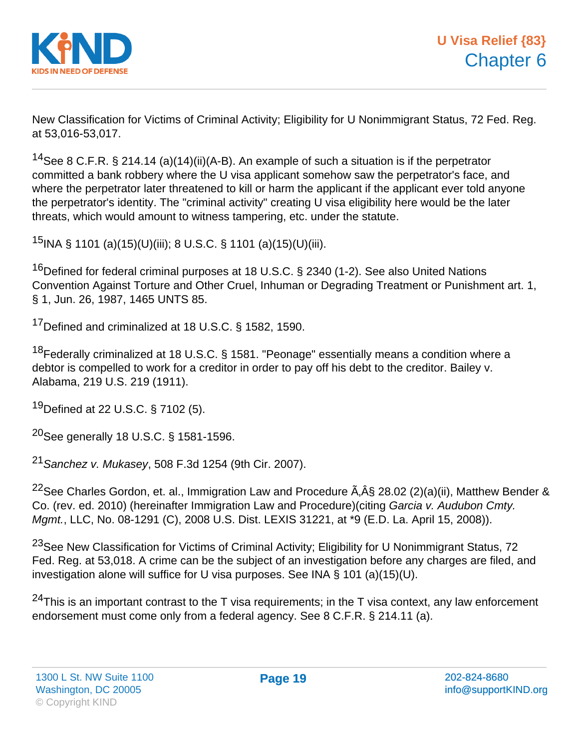

New Classification for Victims of Criminal Activity; Eligibility for U Nonimmigrant Status, 72 Fed. Reg. at 53,016-53,017.

<sup>14</sup>See 8 C.F.R. § 214.14 (a)(14)(ii)(A-B). An example of such a situation is if the perpetrator committed a bank robbery where the U visa applicant somehow saw the perpetrator's face, and where the perpetrator later threatened to kill or harm the applicant if the applicant ever told anyone the perpetrator's identity. The "criminal activity" creating U visa eligibility here would be the later threats, which would amount to witness tampering, etc. under the statute.

<sup>15</sup>INA § 1101 (a)(15)(U)(iii); 8 U.S.C. § 1101 (a)(15)(U)(iii).

<sup>16</sup>Defined for federal criminal purposes at 18 U.S.C. § 2340 (1-2). See also United Nations Convention Against Torture and Other Cruel, Inhuman or Degrading Treatment or Punishment art. 1, § 1, Jun. 26, 1987, 1465 UNTS 85.

<sup>17</sup>Defined and criminalized at 18 U.S.C. § 1582, 1590.

<sup>18</sup>Federally criminalized at 18 U.S.C. § 1581. "Peonage" essentially means a condition where a debtor is compelled to work for a creditor in order to pay off his debt to the creditor. Bailey v. Alabama, 219 U.S. 219 (1911).

<sup>19</sup>Defined at 22 U.S.C. § 7102 (5).

<sup>20</sup>See generally 18 U.S.C. § 1581-1596.

<sup>21</sup> Sanchez v. Mukasev, 508 F.3d 1254 (9th Cir. 2007).

<sup>22</sup>See Charles Gordon, et. al., Immigration Law and Procedure  $\tilde{A}$ ,  $\hat{A}$ § 28.02 (2)(a)(ii), Matthew Bender & Co. (rev. ed. 2010) (hereinafter Immigration Law and Procedure)(citing Garcia v. Audubon Cmty. Mgmt., LLC, No. 08-1291 (C), 2008 U.S. Dist. LEXIS 31221, at \*9 (E.D. La. April 15, 2008)).

<sup>23</sup>See New Classification for Victims of Criminal Activity; Eligibility for U Nonimmigrant Status, 72 Fed. Reg. at 53,018. A crime can be the subject of an investigation before any charges are filed, and investigation alone will suffice for U visa purposes. See INA § 101 (a)(15)(U).

 $24$ This is an important contrast to the T visa requirements; in the T visa context, any law enforcement endorsement must come only from a federal agency. See 8 C.F.R. § 214.11 (a).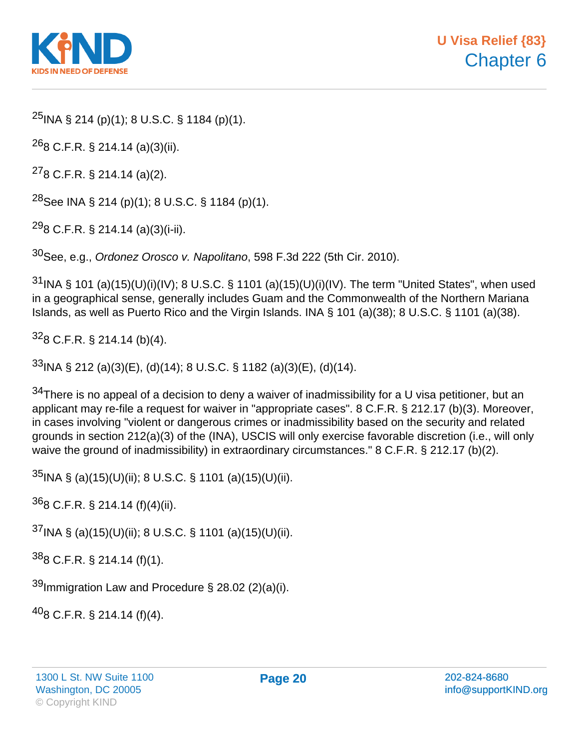

 $^{25}$ INA § 214 (p)(1); 8 U.S.C. § 1184 (p)(1).

 $^{26}$ 8 C.F.R. § 214.14 (a)(3)(ii).

<sup>27</sup>8 C.F.R. § 214.14 (a)(2).

<sup>28</sup>See INA § 214 (p)(1); 8 U.S.C. § 1184 (p)(1).

 $^{29}$ 8 C.F.R. § 214.14 (a)(3)(i-ii).

 $30$ See, e.g., Ordonez Orosco v. Napolitano, 598 F.3d 222 (5th Cir. 2010).

 $31$  INA § 101 (a)(15)(U)(i)(IV); 8 U.S.C. § 1101 (a)(15)(U)(i)(IV). The term "United States", when used in a geographical sense, generally includes Guam and the Commonwealth of the Northern Mariana Islands, as well as Puerto Rico and the Virgin Islands. INA § 101 (a)(38); 8 U.S.C. § 1101 (a)(38).

 $328$  C.F.R. § 214.14 (b)(4).

 $33$ INA § 212 (a)(3)(E), (d)(14); 8 U.S.C. § 1182 (a)(3)(E), (d)(14).

 $34$ There is no appeal of a decision to deny a waiver of inadmissibility for a U visa petitioner, but an applicant may re-file a request for waiver in "appropriate cases". 8 C.F.R. § 212.17 (b)(3). Moreover, in cases involving "violent or dangerous crimes or inadmissibility based on the security and related grounds in section 212(a)(3) of the (INA), USCIS will only exercise favorable discretion (i.e., will only waive the ground of inadmissibility) in extraordinary circumstances." 8 C.F.R. § 212.17 (b)(2).

 $35$ INA § (a)(15)(U)(ii); 8 U.S.C. § 1101 (a)(15)(U)(ii).

 $368$  C.F.R. § 214.14 (f)(4)(ii).

 $37$ INA § (a)(15)(U)(ii); 8 U.S.C. § 1101 (a)(15)(U)(ii).

 $388$  C.F.R. § 214.14 (f)(1).

 $39$ Immigration Law and Procedure § 28.02 (2)(a)(i).

 $^{40}$ 8 C.F.R. § 214.14 (f)(4).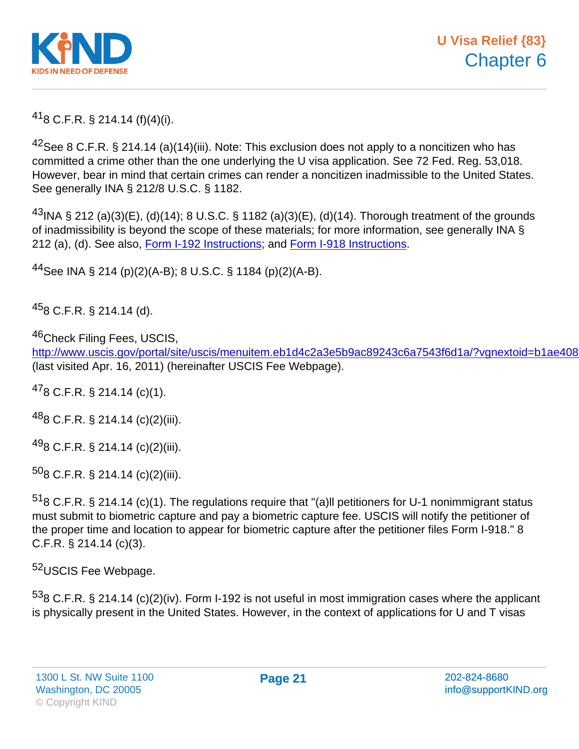$^{41}$ 8 C.F.R. § 214.14 (f)(4)(i).

<sup>42</sup>See 8 C.F.R. § 214.14 (a)(14)(iii). Note: This exclusion does not apply to a noncitizen who has committed a crime other than the one underlying the U visa application. See 72 Fed. Reg. 53,018. However, bear in mind that certain crimes can render a noncitizen inadmissible to the United States. See generally INA § 212/8 U.S.C. § 1182.

 $^{43}$ INA § 212 (a)(3)(E), (d)(14); 8 U.S.C. § 1182 (a)(3)(E), (d)(14). Thorough treatment of the grounds of inadmissibility is beyond the scope of these materials; for more information, see generally INA § 212 (a), (d). See also, [Form I-192 Instructions;](http://www.uscis.a/files/form/i-192instr.pdf) and [Form I-918 Instructions](http://www.uscis.gov/files/form/i-918instr.pdf).

<sup>44</sup>See INA § 214 (p)(2)(A-B); 8 U.S.C. § 1184 (p)(2)(A-B).

 $458$  C.F.R. § 214.14 (d).

46Check Filing Fees, USCIS,

http://www.uscis.gov/portal/site/uscis/menuitem.eb1d4c2a3e5b9ac89243c6a7543f6d1a/?vgnextoid=b1ae408 (last visited Apr. 16, 2011) (hereinafter USCIS Fee Webpage).

<sup>47</sup>8 C.F.R. § 214.14 (c)(1).

<sup>48</sup>8 C.F.R. § 214.14 (c)(2)(iii).

 $^{49}$ 8 C.F.R. § 214.14 (c)(2)(iii).

 $508$  C.F.R. § 214.14 (c)(2)(iii).

<sup>51</sup>8 C.F.R. § 214.14 (c)(1). The regulations require that "(a)II petitioners for U-1 nonimmigrant status must submit to biometric capture and pay a biometric capture fee. USCIS will notify the petitioner of the proper time and location to appear for biometric capture after the petitioner files Form I-918." 8 C.F.R. § 214.14 (c)(3).

52 USCIS Fee Webpage.

<sup>53</sup>8 C.F.R. § 214.14 (c)(2)(iv). Form I-192 is not useful in most immigration cases where the applicant is physically present in the United States. However, in the context of applications for U and T visas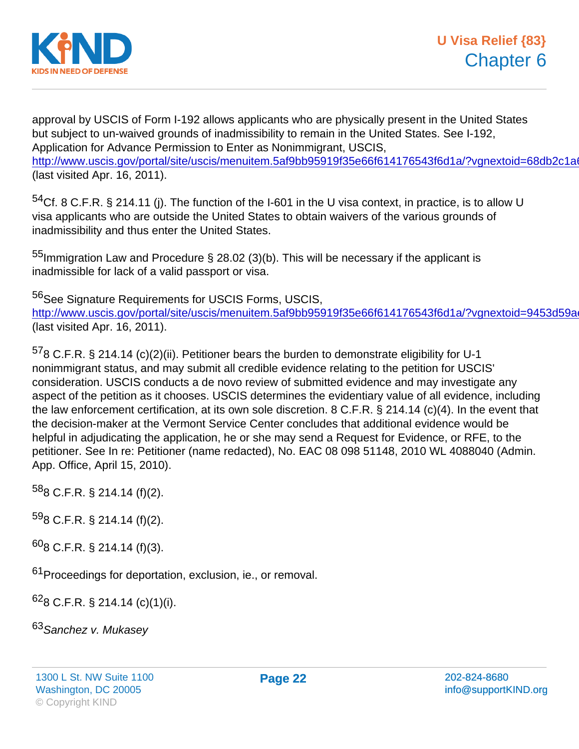approval by USCIS of Form I-192 allows applicants who are physically present in the United States but subject to un-waived grounds of inadmissibility to remain in the United States. See I-192, Application for Advance Permission to Enter as Nonimmigrant, USCIS, http://www.uscis.gov/portal/site/uscis/menuitem.5af9bb95919f35e66f614176543f6d1a/?vgnextoid=68db2c1a (last visited Apr. 16, 2011).

 $54$ Cf. 8 C.F.R. § 214.11 (j). The function of the I-601 in the U visa context, in practice, is to allow U visa applicants who are outside the United States to obtain waivers of the various grounds of inadmissibility and thus enter the United States.

<sup>55</sup>Immigration Law and Procedure § 28.02 (3)(b). This will be necessary if the applicant is inadmissible for lack of a valid passport or visa.

56See Signature Requirements for USCIS Forms, USCIS, http://www.uscis.gov/portal/site/uscis/menuitem.5af9bb95919f35e66f614176543f6d1a/?vgnextoid=9453d59a (last visited Apr. 16, 2011).

 $578$  C.F.R. § 214.14 (c)(2)(ii). Petitioner bears the burden to demonstrate eligibility for U-1 nonimmigrant status, and may submit all credible evidence relating to the petition for USCIS' consideration. USCIS conducts a de novo review of submitted evidence and may investigate any aspect of the petition as it chooses. USCIS determines the evidentiary value of all evidence, including the law enforcement certification, at its own sole discretion. 8 C.F.R. § 214.14 (c)(4). In the event that the decision-maker at the Vermont Service Center concludes that additional evidence would be helpful in adjudicating the application, he or she may send a Request for Evidence, or RFE, to the petitioner. See In re: Petitioner (name redacted), No. EAC 08 098 51148, 2010 WL 4088040 (Admin. App. Office, April 15, 2010).

 $588$  C.F.R. § 214.14 (f)(2).

 $598$  C.F.R. § 214.14 (f)(2).

<sup>60</sup>8 C.F.R. § 214.14 (f)(3).

61 Proceedings for deportation, exclusion, ie., or removal.

 $628$  C.F.R. § 214.14 (c)(1)(i).

63 Sanchez v. Mukasey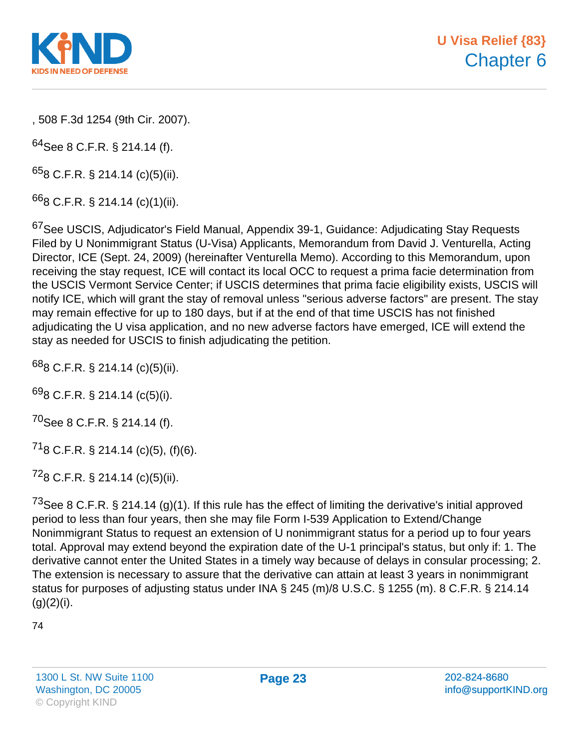

, 508 F.3d 1254 (9th Cir. 2007).

 $64$ See 8 C.F.R. § 214.14 (f).

 $658$  C.F.R. § 214.14 (c)(5)(ii).

 $668$  C.F.R. § 214.14 (c)(1)(ii).

<sup>67</sup>See USCIS, Adjudicator's Field Manual, Appendix 39-1, Guidance: Adjudicating Stay Requests Filed by U Nonimmigrant Status (U-Visa) Applicants, Memorandum from David J. Venturella, Acting Director, ICE (Sept. 24, 2009) (hereinafter Venturella Memo). According to this Memorandum, upon receiving the stay request, ICE will contact its local OCC to request a prima facie determination from the USCIS Vermont Service Center; if USCIS determines that prima facie eligibility exists, USCIS will notify ICE, which will grant the stay of removal unless "serious adverse factors" are present. The stay may remain effective for up to 180 days, but if at the end of that time USCIS has not finished adjudicating the U visa application, and no new adverse factors have emerged, ICE will extend the stay as needed for USCIS to finish adjudicating the petition.

 $688$  C.F.R. § 214.14 (c)(5)(ii).

 $698$  C.F.R. § 214.14 (c(5)(i).

<sup>70</sup>See 8 C.F.R. § 214.14 (f).

 $^{71}$ 8 C.F.R. § 214.14 (c)(5), (f)(6).

 $728$  C.F.R. § 214.14 (c)(5)(ii).

<sup>73</sup>See 8 C.F.R. § 214.14 (g)(1). If this rule has the effect of limiting the derivative's initial approved period to less than four years, then she may file Form I-539 Application to Extend/Change Nonimmigrant Status to request an extension of U nonimmigrant status for a period up to four years total. Approval may extend beyond the expiration date of the U-1 principal's status, but only if: 1. The derivative cannot enter the United States in a timely way because of delays in consular processing; 2. The extension is necessary to assure that the derivative can attain at least 3 years in nonimmigrant status for purposes of adjusting status under INA § 245 (m)/8 U.S.C. § 1255 (m). 8 C.F.R. § 214.14  $(g)(2)(i)$ .

74